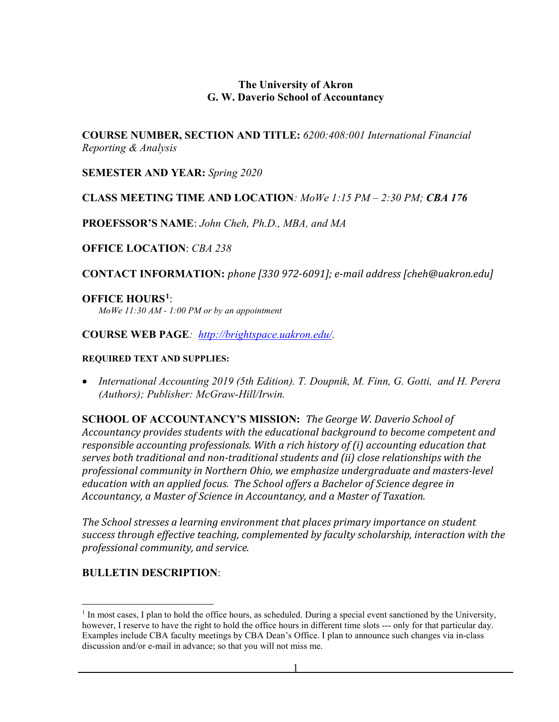#### **The University of Akron G. W. Daverio School of Accountancy**

**COURSE NUMBER, SECTION AND TITLE:** *6200:408:001 International Financial Reporting & Analysis*

**SEMESTER AND YEAR:** *Spring 2020*

#### **CLASS MEETING TIME AND LOCATION***: MoWe 1:15 PM – 2:30 PM; CBA 176*

**PROEFSSOR'S NAME**: *John Cheh, Ph.D., MBA, and MA*

**OFFICE LOCATION**: *CBA 238*

**CONTACT INFORMATION:** *phone [330 972-6091]; e-mail address [cheh@uakron.edu]*

#### **OFFICE HOURS[1](#page-0-0)**:

*MoWe 11:30 AM - 1:00 PM or by an appointment*

**COURSE WEB PAGE***: [http://brightspace.uakron.edu/.](http://brightspace.uakron.edu/)* 

#### **REQUIRED TEXT AND SUPPLIES:**

• *International Accounting 2019 (5th Edition). T. Doupnik, M. Finn, G. Gotti, and H. Perera (Authors); Publisher: McGraw-Hill/Irwin.* 

**SCHOOL OF ACCOUNTANCY'S MISSION:** *The George W. Daverio School of Accountancy provides students with the educational background to become competent and responsible accounting professionals. With a rich history of (i) accounting education that serves both traditional and non-traditional students and (ii) close relationships with the professional community in Northern Ohio, we emphasize undergraduate and masters-level education with an applied focus. The School offers a Bachelor of Science degree in Accountancy, a Master of Science in Accountancy, and a Master of Taxation.*

*The School stresses a learning environment that places primary importance on student success through effective teaching, complemented by faculty scholarship, interaction with the professional community, and service.*

#### **BULLETIN DESCRIPTION**:

<span id="page-0-0"></span> $<sup>1</sup>$  In most cases, I plan to hold the office hours, as scheduled. During a special event sanctioned by the University,</sup> however, I reserve to have the right to hold the office hours in different time slots --- only for that particular day. Examples include CBA faculty meetings by CBA Dean's Office. I plan to announce such changes via in-class discussion and/or e-mail in advance; so that you will not miss me.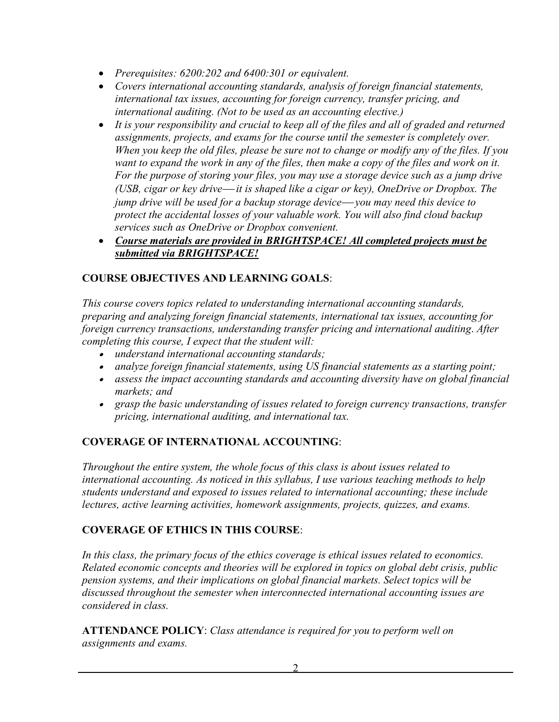- *Prerequisites: 6200:202 and 6400:301 or equivalent.*
- *Covers international accounting standards, analysis of foreign financial statements, international tax issues, accounting for foreign currency, transfer pricing, and international auditing. (Not to be used as an accounting elective.)*
- *It is your responsibility and crucial to keep all of the files and all of graded and returned assignments, projects, and exams for the course until the semester is completely over. When you keep the old files, please be sure not to change or modify any of the files. If you want to expand the work in any of the files, then make a copy of the files and work on it. For the purpose of storing your files, you may use a storage device such as a jump drive (USB, cigar or key drive—it is shaped like a cigar or key), OneDrive or Dropbox. The jump drive will be used for a backup storage device you may need this device to protect the accidental losses of your valuable work. You will also find cloud backup services such as OneDrive or Dropbox convenient.*
- *Course materials are provided in BRIGHTSPACE! All completed projects must be submitted via BRIGHTSPACE!*

# **COURSE OBJECTIVES AND LEARNING GOALS**:

*This course covers topics related to understanding international accounting standards, preparing and analyzing foreign financial statements, international tax issues, accounting for foreign currency transactions, understanding transfer pricing and international auditing*. *After completing this course, I expect that the student will:*

- *understand international accounting standards;*
- *analyze foreign financial statements, using US financial statements as a starting point;*
- *assess the impact accounting standards and accounting diversity have on global financial markets; and*
- *grasp the basic understanding of issues related to foreign currency transactions, transfer pricing, international auditing, and international tax.*

### **COVERAGE OF INTERNATIONAL ACCOUNTING**:

*Throughout the entire system, the whole focus of this class is about issues related to international accounting. As noticed in this syllabus, I use various teaching methods to help students understand and exposed to issues related to international accounting; these include lectures, active learning activities, homework assignments, projects, quizzes, and exams.* 

### **COVERAGE OF ETHICS IN THIS COURSE**:

In this class, the primary focus of the ethics coverage is ethical issues related to economics. *Related economic concepts and theories will be explored in topics on global debt crisis, public pension systems, and their implications on global financial markets. Select topics will be discussed throughout the semester when interconnected international accounting issues are considered in class.*

**ATTENDANCE POLICY**: *Class attendance is required for you to perform well on assignments and exams.*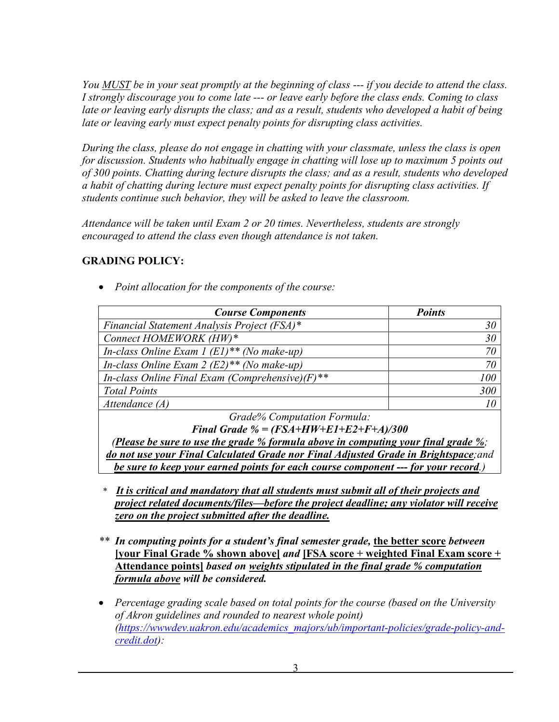*You MUST be in your seat promptly at the beginning of class --- if you decide to attend the class. I strongly discourage you to come late --- or leave early before the class ends. Coming to class*  late or leaving early disrupts the class; and as a result, students who developed a habit of being *late or leaving early must expect penalty points for disrupting class activities.*

*During the class, please do not engage in chatting with your classmate, unless the class is open for discussion. Students who habitually engage in chatting will lose up to maximum 5 points out of 300 points. Chatting during lecture disrupts the class; and as a result, students who developed a habit of chatting during lecture must expect penalty points for disrupting class activities. If students continue such behavior, they will be asked to leave the classroom.*

*Attendance will be taken until Exam 2 or 20 times. Nevertheless, students are strongly encouraged to attend the class even though attendance is not taken.*

### **GRADING POLICY:**

• *Point allocation for the components of the course:*

| <b>Course Components</b>                                 | <b>Points</b> |  |  |  |
|----------------------------------------------------------|---------------|--|--|--|
| Financial Statement Analysis Project (FSA)*              | 30            |  |  |  |
| Connect HOMEWORK (HW)*                                   | 30            |  |  |  |
| In-class Online Exam 1 $(EI)$ <sup>**</sup> (No make-up) |               |  |  |  |
| In-class Online Exam 2 $(E2)$ <sup>**</sup> (No make-up) |               |  |  |  |
| In-class Online Final Exam (Comprehensive) $(F)$ **      | 100           |  |  |  |
| <b>Total Points</b>                                      | 300           |  |  |  |
| Attendance $(A)$                                         |               |  |  |  |
| $C_{1}$ $1.0/$ $C_{2}$ $1.0/$ $C_{3}$ $1.0/$ $1.0/$      |               |  |  |  |

*Grade% Computation Formula: Final Grade % = (FSA+HW+E1+E2+F+A)/300*

*(Please be sure to use the grade % formula above in computing your final grade %; do not use your Final Calculated Grade nor Final Adjusted Grade in Brightspace;and be sure to keep your earned points for each course component --- for your record.)*

- *\* It is critical and mandatory that all students must submit all of their projects and project related documents/files—before the project deadline; any violator will receive zero on the project submitted after the deadline.*
- *\*\* In computing points for a student's final semester grade,* **the better score** *between*  **[your Final Grade % shown above]** *and* **[FSA score** *+* **weighted Final Exam score + Attendance points]** *based on weights stipulated in the final grade % computation formula above will be considered.*
- *Percentage grading scale based on total points for the course (based on the University of Akron guidelines and rounded to nearest whole point) (https://wwwdev.uakron.edu/academics\_majors/ub/important-policies/grade-policy-andcredit.dot):*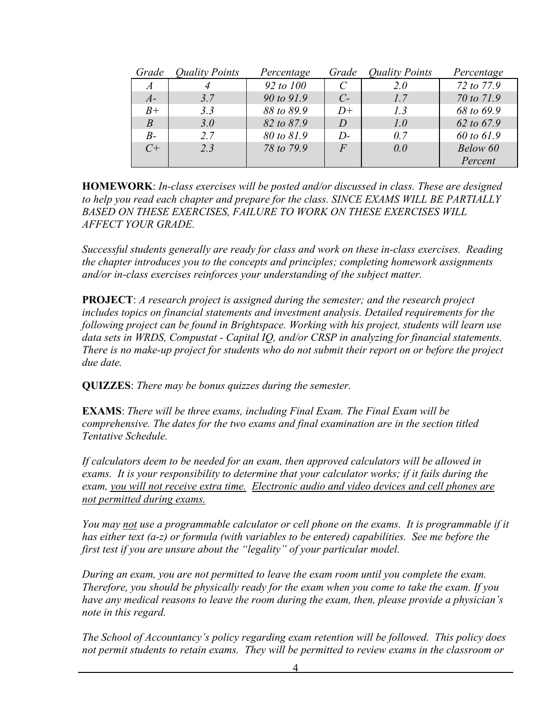| Grade          | <b>Quality Points</b> | Percentage | Grade              | <b>Quality Points</b> | Percentage |
|----------------|-----------------------|------------|--------------------|-----------------------|------------|
| $\overline{A}$ |                       | 92 to 100  |                    | 2.0                   | 72 to 77.9 |
| $A-$           | 3.7                   | 90 to 91.9 | $C_{\overline{z}}$ | 1.7                   | 70 to 71.9 |
| $B+$           | 3.3                   | 88 to 89.9 | $D+$               | 1.3                   | 68 to 69.9 |
| B              | 3.0                   | 82 to 87.9 | D                  | 1.0                   | 62 to 67.9 |
| $B-$           | 2.7                   | 80 to 81.9 | $D$ -              | 0.7                   | 60 to 61.9 |
| $C^+$          | 2.3                   | 78 to 79.9 | $\overline{F}$     | 0.0                   | Below 60   |
|                |                       |            |                    |                       | Percent    |

**HOMEWORK**: *In-class exercises will be posted and/or discussed in class. These are designed to help you read each chapter and prepare for the class. SINCE EXAMS WILL BE PARTIALLY BASED ON THESE EXERCISES, FAILURE TO WORK ON THESE EXERCISES WILL AFFECT YOUR GRADE.*

*Successful students generally are ready for class and work on these in-class exercises. Reading the chapter introduces you to the concepts and principles; completing homework assignments and/or in-class exercises reinforces your understanding of the subject matter.*

**PROJECT**: *A research project is assigned during the semester; and the research project includes topics on financial statements and investment analysis. Detailed requirements for the following project can be found in Brightspace. Working with his project, students will learn use data sets in WRDS, Compustat - Capital IQ, and/or CRSP in analyzing for financial statements. There is no make-up project for students who do not submit their report on or before the project due date.* 

**QUIZZES**: *There may be bonus quizzes during the semester.*

**EXAMS**: *There will be three exams, including Final Exam. The Final Exam will be comprehensive. The dates for the two exams and final examination are in the section titled Tentative Schedule.* 

*If calculators deem to be needed for an exam, then approved calculators will be allowed in exams. It is your responsibility to determine that your calculator works; if it fails during the exam, you will not receive extra time. Electronic audio and video devices and cell phones are not permitted during exams.*

*You may not use a programmable calculator or cell phone on the exams. It is programmable if it has either text (a-z) or formula (with variables to be entered) capabilities. See me before the first test if you are unsure about the "legality" of your particular model.* 

*During an exam, you are not permitted to leave the exam room until you complete the exam. Therefore, you should be physically ready for the exam when you come to take the exam. If you have any medical reasons to leave the room during the exam, then, please provide a physician's note in this regard.* 

*The School of Accountancy's policy regarding exam retention will be followed. This policy does not permit students to retain exams. They will be permitted to review exams in the classroom or*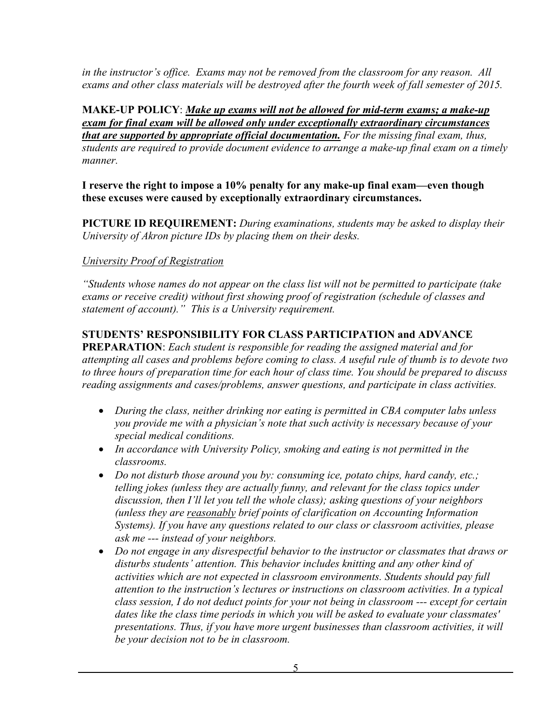*in the instructor's office. Exams may not be removed from the classroom for any reason. All exams and other class materials will be destroyed after the fourth week of fall semester of 2015.*

**MAKE-UP POLICY**: *Make up exams will not be allowed for mid-term exams; a make-up exam for final exam will be allowed only under exceptionally extraordinary circumstances that are supported by appropriate official documentation. For the missing final exam, thus, students are required to provide document evidence to arrange a make-up final exam on a timely manner.* 

**I reserve the right to impose a 10% penalty for any make-up final exam—even though these excuses were caused by exceptionally extraordinary circumstances.**

**PICTURE ID REQUIREMENT:** *During examinations, students may be asked to display their University of Akron picture IDs by placing them on their desks.* 

#### *University Proof of Registration*

*"Students whose names do not appear on the class list will not be permitted to participate (take exams or receive credit) without first showing proof of registration (schedule of classes and statement of account)." This is a University requirement.*

#### **STUDENTS' RESPONSIBILITY FOR CLASS PARTICIPATION and ADVANCE**

**PREPARATION**: *Each student is responsible for reading the assigned material and for attempting all cases and problems before coming to class. A useful rule of thumb is to devote two to three hours of preparation time for each hour of class time. You should be prepared to discuss reading assignments and cases/problems, answer questions, and participate in class activities.*

- *During the class, neither drinking nor eating is permitted in CBA computer labs unless you provide me with a physician's note that such activity is necessary because of your special medical conditions.*
- *In accordance with University Policy, smoking and eating is not permitted in the classrooms.*
- *Do not disturb those around you by: consuming ice, potato chips, hard candy, etc.; telling jokes (unless they are actually funny, and relevant for the class topics under discussion, then I'll let you tell the whole class); asking questions of your neighbors (unless they are reasonably brief points of clarification on Accounting Information Systems). If you have any questions related to our class or classroom activities, please ask me --- instead of your neighbors.*
- *Do not engage in any disrespectful behavior to the instructor or classmates that draws or disturbs students' attention. This behavior includes knitting and any other kind of activities which are not expected in classroom environments. Students should pay full attention to the instruction's lectures or instructions on classroom activities. In a typical class session, I do not deduct points for your not being in classroom --- except for certain dates like the class time periods in which you will be asked to evaluate your classmates' presentations. Thus, if you have more urgent businesses than classroom activities, it will be your decision not to be in classroom.*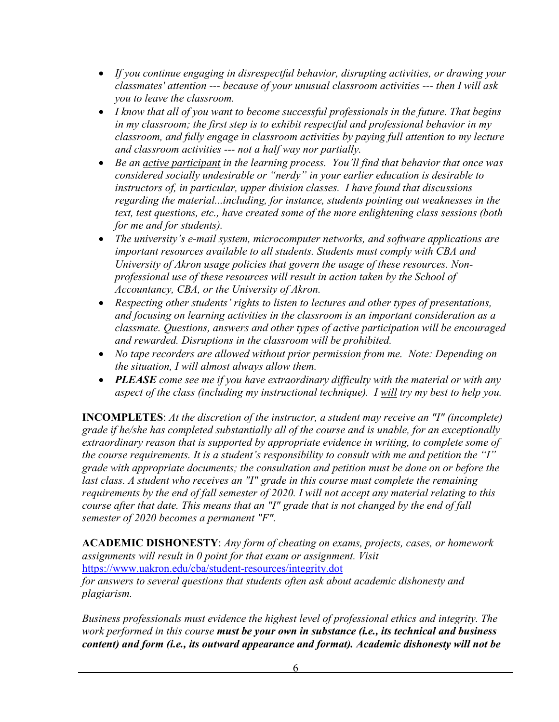- *If you continue engaging in disrespectful behavior, disrupting activities, or drawing your classmates' attention --- because of your unusual classroom activities --- then I will ask you to leave the classroom.*
- *I know that all of you want to become successful professionals in the future. That begins in my classroom; the first step is to exhibit respectful and professional behavior in my classroom, and fully engage in classroom activities by paying full attention to my lecture and classroom activities --- not a half way nor partially.*
- *Be an active participant in the learning process. You'll find that behavior that once was considered socially undesirable or "nerdy" in your earlier education is desirable to instructors of, in particular, upper division classes. I have found that discussions regarding the material...including, for instance, students pointing out weaknesses in the text, test questions, etc., have created some of the more enlightening class sessions (both for me and for students).*
- *The university's e-mail system, microcomputer networks, and software applications are important resources available to all students. Students must comply with CBA and University of Akron usage policies that govern the usage of these resources. Nonprofessional use of these resources will result in action taken by the School of Accountancy, CBA, or the University of Akron.*
- • *Respecting other students' rights to listen to lectures and other types of presentations, and focusing on learning activities in the classroom is an important consideration as a classmate. Questions, answers and other types of active participation will be encouraged and rewarded. Disruptions in the classroom will be prohibited.*
- • *No tape recorders are allowed without prior permission from me. Note: Depending on the situation, I will almost always allow them.*
- *PLEASE come see me if you have extraordinary difficulty with the material or with any aspect of the class (including my instructional technique). I will try my best to help you.*

**INCOMPLETES**: *At the discretion of the instructor, a student may receive an "I" (incomplete) grade if he/she has completed substantially all of the course and is unable, for an exceptionally extraordinary reason that is supported by appropriate evidence in writing, to complete some of the course requirements. It is a student's responsibility to consult with me and petition the "I" grade with appropriate documents; the consultation and petition must be done on or before the*  last class. A student who receives an "I" grade in this course must complete the remaining *requirements by the end of fall semester of 2020. I will not accept any material relating to this course after that date. This means that an "I" grade that is not changed by the end of fall semester of 2020 becomes a permanent "F".*

**ACADEMIC DISHONESTY**: *Any form of cheating on exams, projects, cases, or homework assignments will result in 0 point for that exam or assignment. Visit*  <https://www.uakron.edu/cba/student-resources/integrity.dot>

*for answers to several questions that students often ask about academic dishonesty and plagiarism.* 

*Business professionals must evidence the highest level of professional ethics and integrity. The work performed in this course must be your own in substance (i.e., its technical and business content) and form (i.e., its outward appearance and format). Academic dishonesty will not be*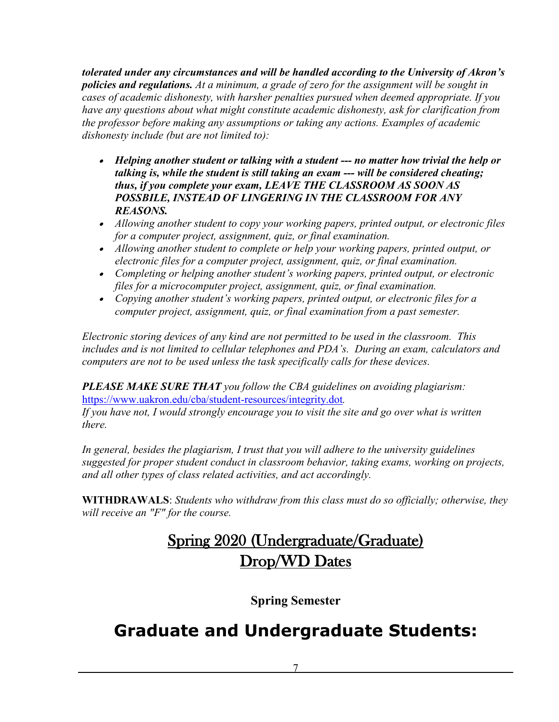*tolerated under any circumstances and will be handled according to the University of Akron's policies and regulations. At a minimum, a grade of zero for the assignment will be sought in cases of academic dishonesty, with harsher penalties pursued when deemed appropriate. If you have any questions about what might constitute academic dishonesty, ask for clarification from the professor before making any assumptions or taking any actions. Examples of academic dishonesty include (but are not limited to):*

- *Helping another student or talking with a student --- no matter how trivial the help or talking is, while the student is still taking an exam --- will be considered cheating; thus, if you complete your exam, LEAVE THE CLASSROOM AS SOON AS POSSBILE, INSTEAD OF LINGERING IN THE CLASSROOM FOR ANY REASONS.*
- *Allowing another student to copy your working papers, printed output, or electronic files for a computer project, assignment, quiz, or final examination.*
- *Allowing another student to complete or help your working papers, printed output, or electronic files for a computer project, assignment, quiz, or final examination.*
- *Completing or helping another student's working papers, printed output, or electronic files for a microcomputer project, assignment, quiz, or final examination.*
- *Copying another student's working papers, printed output, or electronic files for a computer project, assignment, quiz, or final examination from a past semester.*

*Electronic storing devices of any kind are not permitted to be used in the classroom. This includes and is not limited to cellular telephones and PDA's. During an exam, calculators and computers are not to be used unless the task specifically calls for these devices.*

*PLEASE MAKE SURE THAT you follow the CBA guidelines on avoiding plagiarism:*  <https://www.uakron.edu/cba/student-resources/integrity.dot>*.*

*If you have not, I would strongly encourage you to visit the site and go over what is written there.* 

In general, besides the plagiarism, I trust that you will adhere to the university guidelines *suggested for proper student conduct in classroom behavior, taking exams, working on projects, and all other types of class related activities, and act accordingly.*

**WITHDRAWALS**: *Students who withdraw from this class must do so officially; otherwise, they will receive an "F" for the course.* 

# Spring 2020 (Undergraduate/Graduate) Drop/WD Dates

**Spring Semester**

# **Graduate and Undergraduate Students:**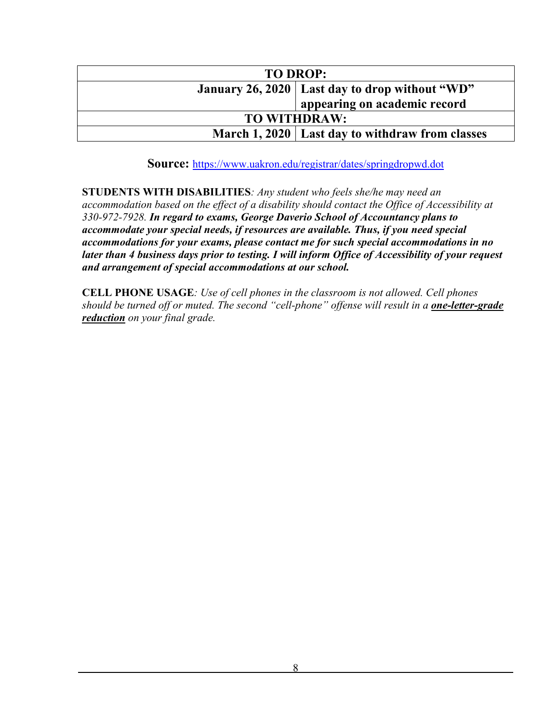| <b>TO DROP:</b>                                   |                                                  |  |  |
|---------------------------------------------------|--------------------------------------------------|--|--|
|                                                   | January 26, 2020   Last day to drop without "WD" |  |  |
|                                                   | appearing on academic record                     |  |  |
| <b>TO WITHDRAW:</b>                               |                                                  |  |  |
| March 1, 2020   Last day to withdraw from classes |                                                  |  |  |

**Source:** https://www.uakron.edu/registrar/dates/springdropwd.dot

**STUDENTS WITH DISABILITIES***: Any student who feels she/he may need an accommodation based on the effect of a disability should contact the Office of Accessibility at 330-972-7928. In regard to exams, George Daverio School of Accountancy plans to accommodate your special needs, if resources are available. Thus, if you need special accommodations for your exams, please contact me for such special accommodations in no later than 4 business days prior to testing. I will inform Office of Accessibility of your request and arrangement of special accommodations at our school.*

**CELL PHONE USAGE***: Use of cell phones in the classroom is not allowed. Cell phones should be turned off or muted. The second "cell-phone" offense will result in a one-letter-grade reduction on your final grade.*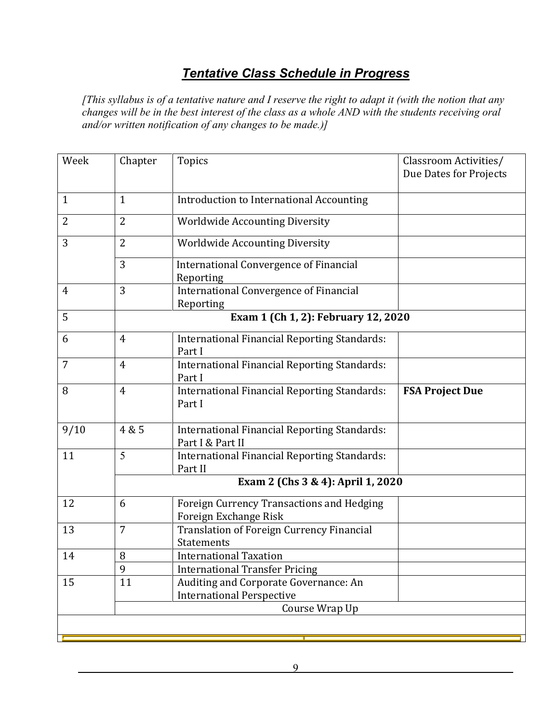# *Tentative Class Schedule in Progress*

*[This syllabus is of a tentative nature and I reserve the right to adapt it (with the notion that any changes will be in the best interest of the class as a whole AND with the students receiving oral and/or written notification of any changes to be made.)]*

| Week         | Chapter                             | Topics                                                                  | Classroom Activities/<br>Due Dates for Projects |  |  |  |
|--------------|-------------------------------------|-------------------------------------------------------------------------|-------------------------------------------------|--|--|--|
| $\mathbf{1}$ | $\mathbf{1}$                        | Introduction to International Accounting                                |                                                 |  |  |  |
| 2            | $\overline{2}$                      | <b>Worldwide Accounting Diversity</b>                                   |                                                 |  |  |  |
|              |                                     |                                                                         |                                                 |  |  |  |
| 3            | 2                                   | <b>Worldwide Accounting Diversity</b>                                   |                                                 |  |  |  |
|              | 3                                   | <b>International Convergence of Financial</b><br>Reporting              |                                                 |  |  |  |
| 4            | 3                                   | <b>International Convergence of Financial</b><br>Reporting              |                                                 |  |  |  |
| 5            | Exam 1 (Ch 1, 2): February 12, 2020 |                                                                         |                                                 |  |  |  |
| 6            | $\overline{4}$                      | International Financial Reporting Standards:<br>Part I                  |                                                 |  |  |  |
| 7            | $\overline{4}$                      | International Financial Reporting Standards:<br>Part I                  |                                                 |  |  |  |
| 8            | $\overline{4}$                      | <b>International Financial Reporting Standards:</b><br>Part I           | <b>FSA Project Due</b>                          |  |  |  |
| 9/10         | 4 & 5                               | <b>International Financial Reporting Standards:</b><br>Part I & Part II |                                                 |  |  |  |
| 11           | 5                                   | <b>International Financial Reporting Standards:</b><br>Part II          |                                                 |  |  |  |
|              |                                     | Exam 2 (Chs 3 & 4): April 1, 2020                                       |                                                 |  |  |  |
| 12           | 6                                   | Foreign Currency Transactions and Hedging<br>Foreign Exchange Risk      |                                                 |  |  |  |
| 13           | $\overline{7}$                      | Translation of Foreign Currency Financial<br><b>Statements</b>          |                                                 |  |  |  |
| 14           | 8                                   | <b>International Taxation</b>                                           |                                                 |  |  |  |
|              | 9                                   | <b>International Transfer Pricing</b>                                   |                                                 |  |  |  |
| 15           | 11                                  | Auditing and Corporate Governance: An                                   |                                                 |  |  |  |
|              |                                     | <b>International Perspective</b>                                        |                                                 |  |  |  |
|              |                                     | Course Wrap Up                                                          |                                                 |  |  |  |
|              |                                     |                                                                         |                                                 |  |  |  |
|              |                                     |                                                                         |                                                 |  |  |  |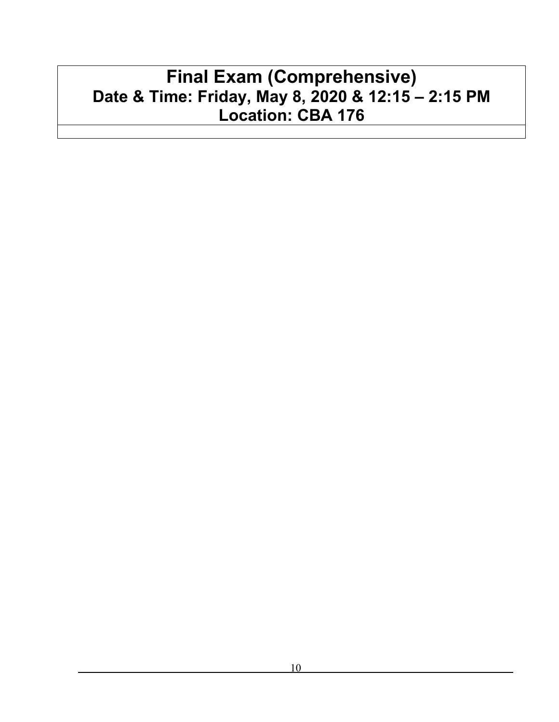# **Final Exam (Comprehensive) Date & Time: Friday, May 8, 2020 & 12:15 – 2:15 PM Location: CBA 176**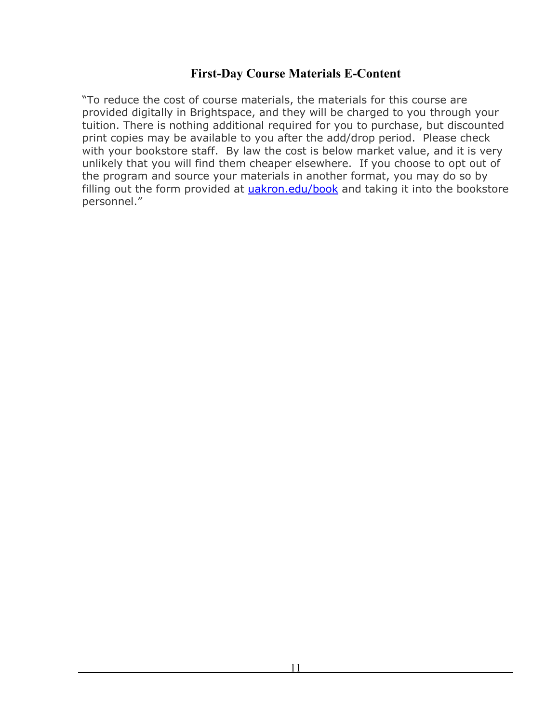## **First-Day Course Materials E-Content**

"To reduce the cost of course materials, the materials for this course are provided digitally in Brightspace, and they will be charged to you through your tuition. There is nothing additional required for you to purchase, but discounted print copies may be available to you after the add/drop period. Please check with your bookstore staff. By law the cost is below market value, and it is very unlikely that you will find them cheaper elsewhere. If you choose to opt out of the program and source your materials in another format, you may do so by filling out the form provided at [uakron.edu/book](https://nam03.safelinks.protection.outlook.com/?url=http%3A%2F%2Femail.info.uakron.edu%2Fa%2F1304%2Fclick%2F1736%2F1967%2F3f2c13e2f2cbde0d1b72765ffd28162cd8ec14ec%2Fdedd1d45d64c80fff32c9cfaa63649b0a699add4&data=02%7C01%7Ccheh%40uakron.edu%7C32ee8669b52346ad0e0a08d792bea4b6%7Ce8575dedd7f94ecea4aa0b32991aeedd%7C0%7C0%7C637139219828506624&sdata=9FRYmurNJbR%2BhYHLf00UVWloKC4JEG20ZZb6%2BGubaxM%3D&reserved=0) and taking it into the bookstore personnel."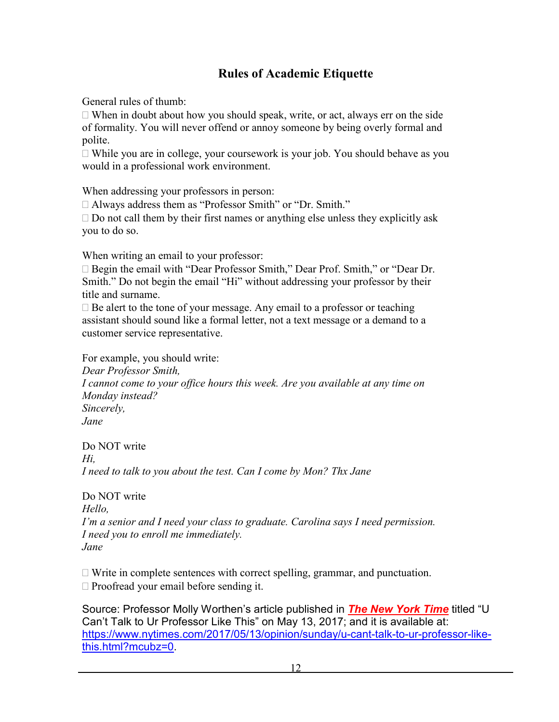# **Rules of Academic Etiquette**

General rules of thumb:

 $\Box$  When in doubt about how you should speak, write, or act, always err on the side of formality. You will never offend or annoy someone by being overly formal and polite.

 While you are in college, your coursework is your job. You should behave as you would in a professional work environment.

When addressing your professors in person:

□ Always address them as "Professor Smith" or "Dr. Smith."

 $\Box$  Do not call them by their first names or anything else unless they explicitly ask you to do so.

When writing an email to your professor:

 Begin the email with "Dear Professor Smith," Dear Prof. Smith," or "Dear Dr. Smith." Do not begin the email "Hi" without addressing your professor by their title and surname.

 $\Box$  Be alert to the tone of your message. Any email to a professor or teaching assistant should sound like a formal letter, not a text message or a demand to a customer service representative.

For example, you should write: *Dear Professor Smith, I cannot come to your office hours this week. Are you available at any time on Monday instead? Sincerely, Jane*

Do NOT write *Hi, I need to talk to you about the test. Can I come by Mon? Thx Jane*

Do NOT write *Hello, I'm a senior and I need your class to graduate. Carolina says I need permission. I need you to enroll me immediately. Jane*

 $\Box$  Write in complete sentences with correct spelling, grammar, and punctuation.  $\Box$  Proofread your email before sending it.

Source: Professor Molly Worthen's article published in *The New York Time* titled "U Can't Talk to Ur Professor Like This" on May 13, 2017; and it is available at: [https://www.nytimes.com/2017/05/13/opinion/sunday/u-cant-talk-to-ur-professor-like](https://www.nytimes.com/2017/05/13/opinion/sunday/u-cant-talk-to-ur-professor-like-this.html?mcubz=0)[this.html?mcubz=0.](https://www.nytimes.com/2017/05/13/opinion/sunday/u-cant-talk-to-ur-professor-like-this.html?mcubz=0)